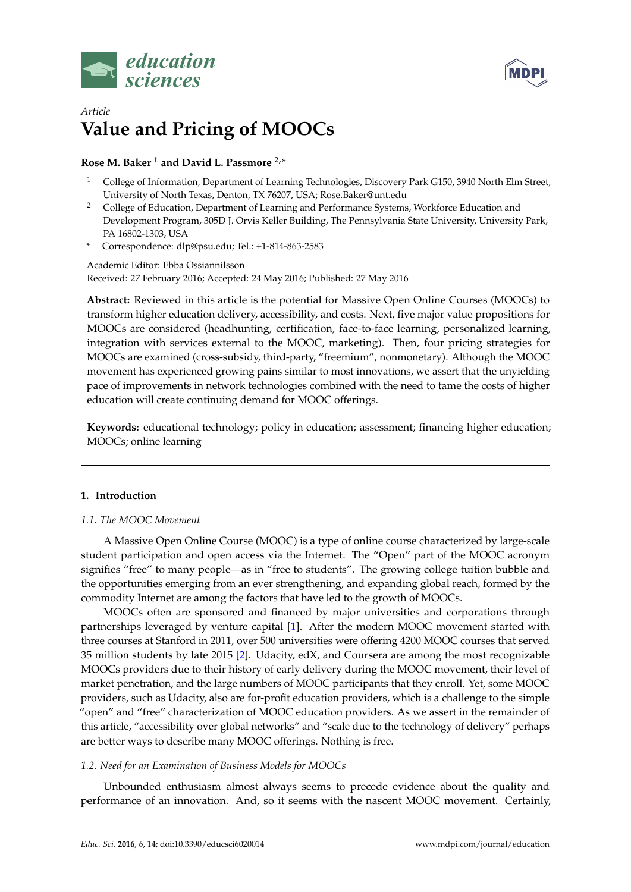



# *Article* **Value and Pricing of MOOCs**

# **Rose M. Baker <sup>1</sup> and David L. Passmore 2,\***

- <sup>1</sup> College of Information, Department of Learning Technologies, Discovery Park G150, 3940 North Elm Street, University of North Texas, Denton, TX 76207, USA; Rose.Baker@unt.edu
- <sup>2</sup> College of Education, Department of Learning and Performance Systems, Workforce Education and Development Program, 305D J. Orvis Keller Building, The Pennsylvania State University, University Park, PA 16802-1303, USA
- **\*** Correspondence: dlp@psu.edu; Tel.: +1-814-863-2583

Academic Editor: Ebba Ossiannilsson Received: 27 February 2016; Accepted: 24 May 2016; Published: 27 May 2016

**Abstract:** Reviewed in this article is the potential for Massive Open Online Courses (MOOCs) to transform higher education delivery, accessibility, and costs. Next, five major value propositions for MOOCs are considered (headhunting, certification, face-to-face learning, personalized learning, integration with services external to the MOOC, marketing). Then, four pricing strategies for MOOCs are examined (cross-subsidy, third-party, "freemium", nonmonetary). Although the MOOC movement has experienced growing pains similar to most innovations, we assert that the unyielding pace of improvements in network technologies combined with the need to tame the costs of higher education will create continuing demand for MOOC offerings.

**Keywords:** educational technology; policy in education; assessment; financing higher education; MOOCs; online learning

# **1. Introduction**

# *1.1. The MOOC Movement*

A Massive Open Online Course (MOOC) is a type of online course characterized by large-scale student participation and open access via the Internet. The "Open" part of the MOOC acronym signifies "free" to many people—as in "free to students". The growing college tuition bubble and the opportunities emerging from an ever strengthening, and expanding global reach, formed by the commodity Internet are among the factors that have led to the growth of MOOCs.

MOOCs often are sponsored and financed by major universities and corporations through partnerships leveraged by venture capital [\[1\]](#page-9-0). After the modern MOOC movement started with three courses at Stanford in 2011, over 500 universities were offering 4200 MOOC courses that served 35 million students by late 2015 [\[2\]](#page-9-1). Udacity, edX, and Coursera are among the most recognizable MOOCs providers due to their history of early delivery during the MOOC movement, their level of market penetration, and the large numbers of MOOC participants that they enroll. Yet, some MOOC providers, such as Udacity, also are for-profit education providers, which is a challenge to the simple "open" and "free" characterization of MOOC education providers. As we assert in the remainder of this article, "accessibility over global networks" and "scale due to the technology of delivery" perhaps are better ways to describe many MOOC offerings. Nothing is free.

# *1.2. Need for an Examination of Business Models for MOOCs*

Unbounded enthusiasm almost always seems to precede evidence about the quality and performance of an innovation. And, so it seems with the nascent MOOC movement. Certainly,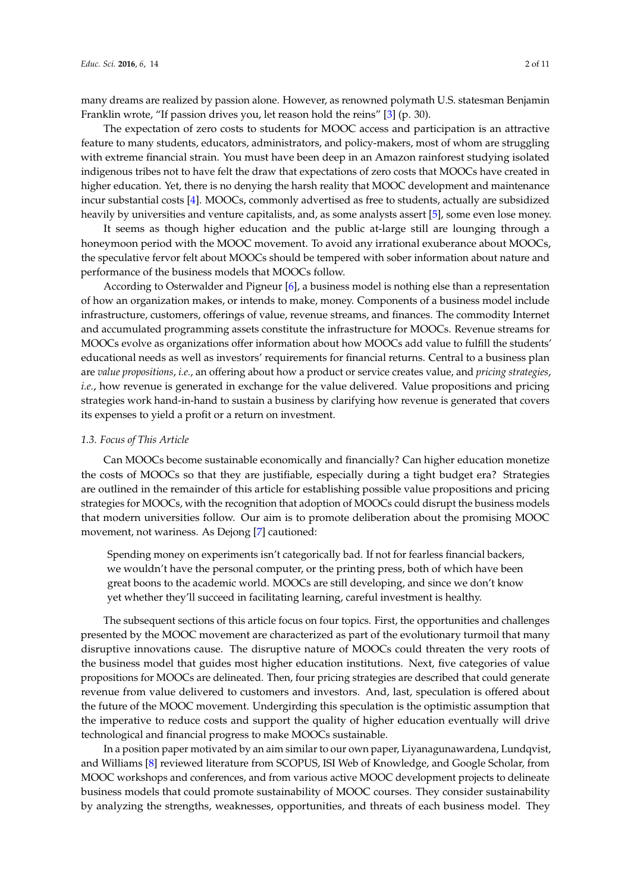many dreams are realized by passion alone. However, as renowned polymath U.S. statesman Benjamin Franklin wrote, "If passion drives you, let reason hold the reins" [\[3\]](#page-9-2) (p. 30).

The expectation of zero costs to students for MOOC access and participation is an attractive feature to many students, educators, administrators, and policy-makers, most of whom are struggling with extreme financial strain. You must have been deep in an Amazon rainforest studying isolated indigenous tribes not to have felt the draw that expectations of zero costs that MOOCs have created in higher education. Yet, there is no denying the harsh reality that MOOC development and maintenance incur substantial costs [\[4\]](#page-9-3). MOOCs, commonly advertised as free to students, actually are subsidized heavily by universities and venture capitalists, and, as some analysts assert [\[5\]](#page-9-4), some even lose money.

It seems as though higher education and the public at-large still are lounging through a honeymoon period with the MOOC movement. To avoid any irrational exuberance about MOOCs, the speculative fervor felt about MOOCs should be tempered with sober information about nature and performance of the business models that MOOCs follow.

According to Osterwalder and Pigneur [\[6\]](#page-9-5), a business model is nothing else than a representation of how an organization makes, or intends to make, money. Components of a business model include infrastructure, customers, offerings of value, revenue streams, and finances. The commodity Internet and accumulated programming assets constitute the infrastructure for MOOCs. Revenue streams for MOOCs evolve as organizations offer information about how MOOCs add value to fulfill the students' educational needs as well as investors' requirements for financial returns. Central to a business plan are *value propositions*, *i.e.*, an offering about how a product or service creates value, and *pricing strategies*, *i.e.*, how revenue is generated in exchange for the value delivered. Value propositions and pricing strategies work hand-in-hand to sustain a business by clarifying how revenue is generated that covers its expenses to yield a profit or a return on investment.

## *1.3. Focus of This Article*

Can MOOCs become sustainable economically and financially? Can higher education monetize the costs of MOOCs so that they are justifiable, especially during a tight budget era? Strategies are outlined in the remainder of this article for establishing possible value propositions and pricing strategies for MOOCs, with the recognition that adoption of MOOCs could disrupt the business models that modern universities follow. Our aim is to promote deliberation about the promising MOOC movement, not wariness. As Dejong [\[7\]](#page-9-6) cautioned:

Spending money on experiments isn't categorically bad. If not for fearless financial backers, we wouldn't have the personal computer, or the printing press, both of which have been great boons to the academic world. MOOCs are still developing, and since we don't know yet whether they'll succeed in facilitating learning, careful investment is healthy.

The subsequent sections of this article focus on four topics. First, the opportunities and challenges presented by the MOOC movement are characterized as part of the evolutionary turmoil that many disruptive innovations cause. The disruptive nature of MOOCs could threaten the very roots of the business model that guides most higher education institutions. Next, five categories of value propositions for MOOCs are delineated. Then, four pricing strategies are described that could generate revenue from value delivered to customers and investors. And, last, speculation is offered about the future of the MOOC movement. Undergirding this speculation is the optimistic assumption that the imperative to reduce costs and support the quality of higher education eventually will drive technological and financial progress to make MOOCs sustainable.

In a position paper motivated by an aim similar to our own paper, Liyanagunawardena, Lundqvist, and Williams [\[8\]](#page-9-7) reviewed literature from SCOPUS, ISI Web of Knowledge, and Google Scholar, from MOOC workshops and conferences, and from various active MOOC development projects to delineate business models that could promote sustainability of MOOC courses. They consider sustainability by analyzing the strengths, weaknesses, opportunities, and threats of each business model. They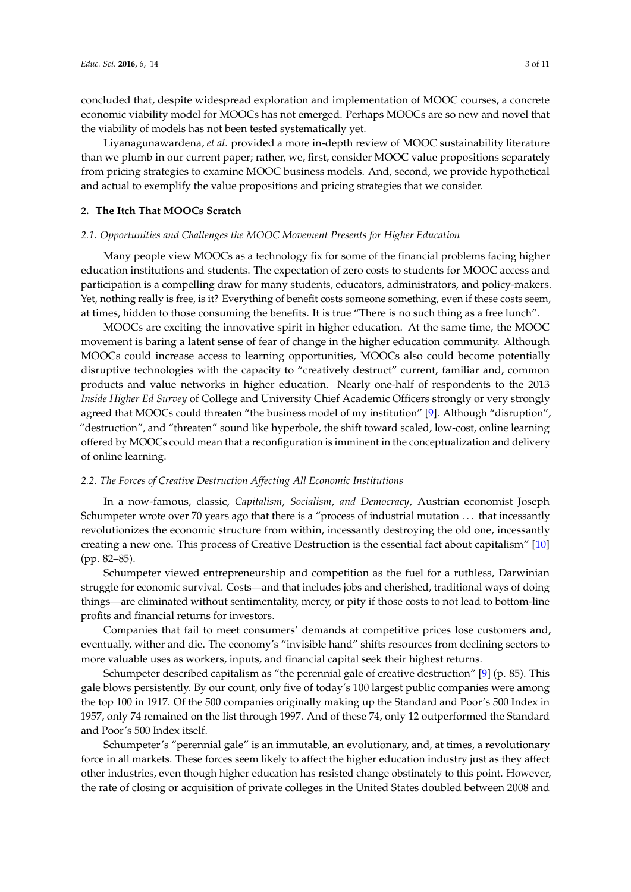concluded that, despite widespread exploration and implementation of MOOC courses, a concrete economic viability model for MOOCs has not emerged. Perhaps MOOCs are so new and novel that the viability of models has not been tested systematically yet.

Liyanagunawardena, *et al*. provided a more in-depth review of MOOC sustainability literature than we plumb in our current paper; rather, we, first, consider MOOC value propositions separately from pricing strategies to examine MOOC business models. And, second, we provide hypothetical and actual to exemplify the value propositions and pricing strategies that we consider.

# **2. The Itch That MOOCs Scratch**

# *2.1. Opportunities and Challenges the MOOC Movement Presents for Higher Education*

Many people view MOOCs as a technology fix for some of the financial problems facing higher education institutions and students. The expectation of zero costs to students for MOOC access and participation is a compelling draw for many students, educators, administrators, and policy-makers. Yet, nothing really is free, is it? Everything of benefit costs someone something, even if these costs seem, at times, hidden to those consuming the benefits. It is true "There is no such thing as a free lunch".

MOOCs are exciting the innovative spirit in higher education. At the same time, the MOOC movement is baring a latent sense of fear of change in the higher education community. Although MOOCs could increase access to learning opportunities, MOOCs also could become potentially disruptive technologies with the capacity to "creatively destruct" current, familiar and, common products and value networks in higher education. Nearly one-half of respondents to the 2013 *Inside Higher Ed Survey* of College and University Chief Academic Officers strongly or very strongly agreed that MOOCs could threaten "the business model of my institution" [\[9\]](#page-9-8). Although "disruption", "destruction", and "threaten" sound like hyperbole, the shift toward scaled, low-cost, online learning offered by MOOCs could mean that a reconfiguration is imminent in the conceptualization and delivery of online learning.

# *2.2. The Forces of Creative Destruction Affecting All Economic Institutions*

In a now-famous, classic, *Capitalism*, *Socialism*, *and Democracy*, Austrian economist Joseph Schumpeter wrote over 70 years ago that there is a "process of industrial mutation . . . that incessantly revolutionizes the economic structure from within, incessantly destroying the old one, incessantly creating a new one. This process of Creative Destruction is the essential fact about capitalism" [\[10\]](#page-9-9) (pp. 82–85).

Schumpeter viewed entrepreneurship and competition as the fuel for a ruthless, Darwinian struggle for economic survival. Costs—and that includes jobs and cherished, traditional ways of doing things—are eliminated without sentimentality, mercy, or pity if those costs to not lead to bottom-line profits and financial returns for investors.

Companies that fail to meet consumers' demands at competitive prices lose customers and, eventually, wither and die. The economy's "invisible hand" shifts resources from declining sectors to more valuable uses as workers, inputs, and financial capital seek their highest returns.

Schumpeter described capitalism as "the perennial gale of creative destruction" [\[9\]](#page-9-8) (p. 85). This gale blows persistently. By our count, only five of today's 100 largest public companies were among the top 100 in 1917. Of the 500 companies originally making up the Standard and Poor's 500 Index in 1957, only 74 remained on the list through 1997. And of these 74, only 12 outperformed the Standard and Poor's 500 Index itself.

Schumpeter's "perennial gale" is an immutable, an evolutionary, and, at times, a revolutionary force in all markets. These forces seem likely to affect the higher education industry just as they affect other industries, even though higher education has resisted change obstinately to this point. However, the rate of closing or acquisition of private colleges in the United States doubled between 2008 and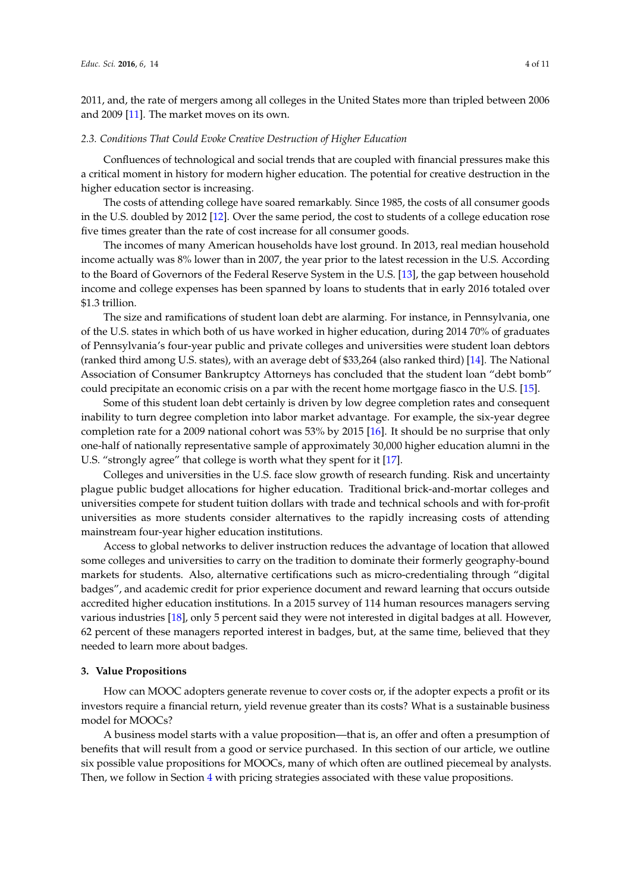2011, and, the rate of mergers among all colleges in the United States more than tripled between 2006 and 2009 [\[11\]](#page-9-10). The market moves on its own.

## *2.3. Conditions That Could Evoke Creative Destruction of Higher Education*

Confluences of technological and social trends that are coupled with financial pressures make this a critical moment in history for modern higher education. The potential for creative destruction in the higher education sector is increasing.

The costs of attending college have soared remarkably. Since 1985, the costs of all consumer goods in the U.S. doubled by 2012 [\[12\]](#page-9-11). Over the same period, the cost to students of a college education rose five times greater than the rate of cost increase for all consumer goods.

The incomes of many American households have lost ground. In 2013, real median household income actually was 8% lower than in 2007, the year prior to the latest recession in the U.S. According to the Board of Governors of the Federal Reserve System in the U.S. [\[13\]](#page-9-12), the gap between household income and college expenses has been spanned by loans to students that in early 2016 totaled over \$1.3 trillion.

The size and ramifications of student loan debt are alarming. For instance, in Pennsylvania, one of the U.S. states in which both of us have worked in higher education, during 2014 70% of graduates of Pennsylvania's four-year public and private colleges and universities were student loan debtors (ranked third among U.S. states), with an average debt of \$33,264 (also ranked third) [\[14\]](#page-9-13). The National Association of Consumer Bankruptcy Attorneys has concluded that the student loan "debt bomb" could precipitate an economic crisis on a par with the recent home mortgage fiasco in the U.S. [\[15\]](#page-9-14).

Some of this student loan debt certainly is driven by low degree completion rates and consequent inability to turn degree completion into labor market advantage. For example, the six-year degree completion rate for a 2009 national cohort was 53% by 2015 [\[16\]](#page-9-15). It should be no surprise that only one-half of nationally representative sample of approximately 30,000 higher education alumni in the U.S. "strongly agree" that college is worth what they spent for it [\[17\]](#page-10-0).

Colleges and universities in the U.S. face slow growth of research funding. Risk and uncertainty plague public budget allocations for higher education. Traditional brick-and-mortar colleges and universities compete for student tuition dollars with trade and technical schools and with for-profit universities as more students consider alternatives to the rapidly increasing costs of attending mainstream four-year higher education institutions.

Access to global networks to deliver instruction reduces the advantage of location that allowed some colleges and universities to carry on the tradition to dominate their formerly geography-bound markets for students. Also, alternative certifications such as micro-credentialing through "digital badges", and academic credit for prior experience document and reward learning that occurs outside accredited higher education institutions. In a 2015 survey of 114 human resources managers serving various industries [\[18\]](#page-10-1), only 5 percent said they were not interested in digital badges at all. However, 62 percent of these managers reported interest in badges, but, at the same time, believed that they needed to learn more about badges.

#### **3. Value Propositions**

How can MOOC adopters generate revenue to cover costs or, if the adopter expects a profit or its investors require a financial return, yield revenue greater than its costs? What is a sustainable business model for MOOCs?

A business model starts with a value proposition—that is, an offer and often a presumption of benefits that will result from a good or service purchased. In this section of our article, we outline six possible value propositions for MOOCs, many of which often are outlined piecemeal by analysts. Then, we follow in Section [4](#page-5-0) with pricing strategies associated with these value propositions.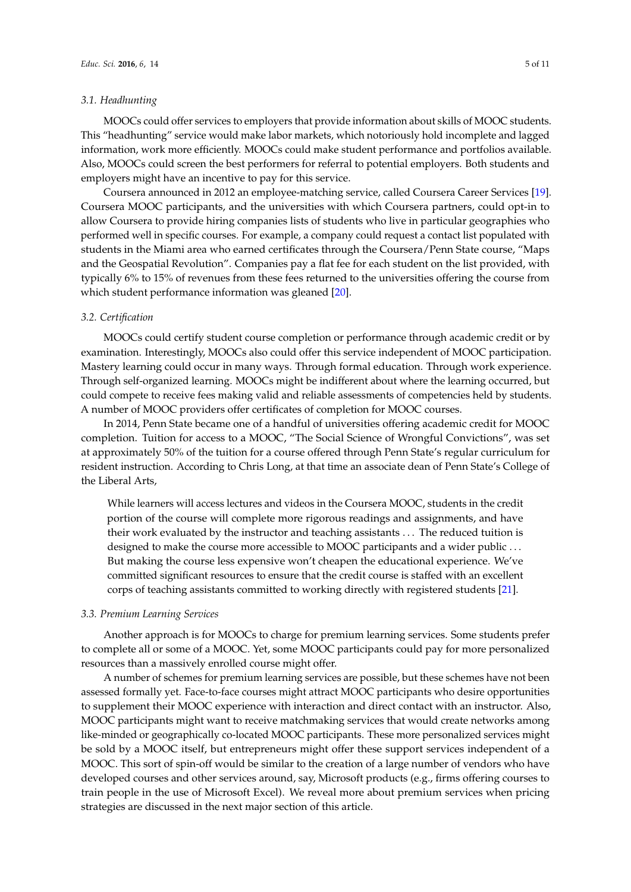# *3.1. Headhunting*

MOOCs could offer services to employers that provide information about skills of MOOC students. This "headhunting" service would make labor markets, which notoriously hold incomplete and lagged information, work more efficiently. MOOCs could make student performance and portfolios available. Also, MOOCs could screen the best performers for referral to potential employers. Both students and employers might have an incentive to pay for this service.

Coursera announced in 2012 an employee-matching service, called Coursera Career Services [\[19\]](#page-10-2). Coursera MOOC participants, and the universities with which Coursera partners, could opt-in to allow Coursera to provide hiring companies lists of students who live in particular geographies who performed well in specific courses. For example, a company could request a contact list populated with students in the Miami area who earned certificates through the Coursera/Penn State course, "Maps and the Geospatial Revolution". Companies pay a flat fee for each student on the list provided, with typically 6% to 15% of revenues from these fees returned to the universities offering the course from which student performance information was gleaned [\[20\]](#page-10-3).

# *3.2. Certification*

MOOCs could certify student course completion or performance through academic credit or by examination. Interestingly, MOOCs also could offer this service independent of MOOC participation. Mastery learning could occur in many ways. Through formal education. Through work experience. Through self-organized learning. MOOCs might be indifferent about where the learning occurred, but could compete to receive fees making valid and reliable assessments of competencies held by students. A number of MOOC providers offer certificates of completion for MOOC courses.

In 2014, Penn State became one of a handful of universities offering academic credit for MOOC completion. Tuition for access to a MOOC, "The Social Science of Wrongful Convictions", was set at approximately 50% of the tuition for a course offered through Penn State's regular curriculum for resident instruction. According to Chris Long, at that time an associate dean of Penn State's College of the Liberal Arts,

While learners will access lectures and videos in the Coursera MOOC, students in the credit portion of the course will complete more rigorous readings and assignments, and have their work evaluated by the instructor and teaching assistants . . . The reduced tuition is designed to make the course more accessible to MOOC participants and a wider public . . . But making the course less expensive won't cheapen the educational experience. We've committed significant resources to ensure that the credit course is staffed with an excellent corps of teaching assistants committed to working directly with registered students [\[21\]](#page-10-4).

#### *3.3. Premium Learning Services*

Another approach is for MOOCs to charge for premium learning services. Some students prefer to complete all or some of a MOOC. Yet, some MOOC participants could pay for more personalized resources than a massively enrolled course might offer.

A number of schemes for premium learning services are possible, but these schemes have not been assessed formally yet. Face-to-face courses might attract MOOC participants who desire opportunities to supplement their MOOC experience with interaction and direct contact with an instructor. Also, MOOC participants might want to receive matchmaking services that would create networks among like-minded or geographically co-located MOOC participants. These more personalized services might be sold by a MOOC itself, but entrepreneurs might offer these support services independent of a MOOC. This sort of spin-off would be similar to the creation of a large number of vendors who have developed courses and other services around, say, Microsoft products (e.g., firms offering courses to train people in the use of Microsoft Excel). We reveal more about premium services when pricing strategies are discussed in the next major section of this article.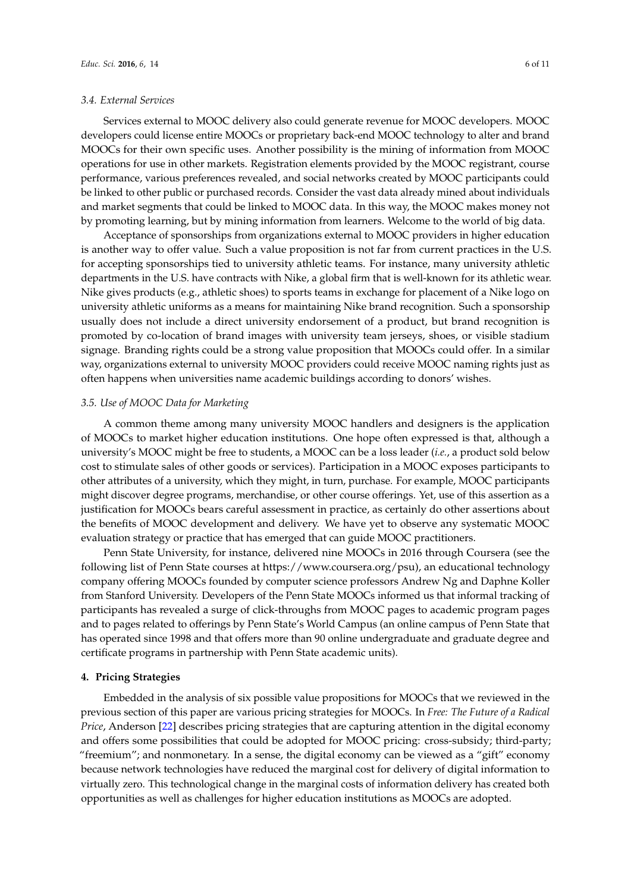#### *3.4. External Services*

Services external to MOOC delivery also could generate revenue for MOOC developers. MOOC developers could license entire MOOCs or proprietary back-end MOOC technology to alter and brand MOOCs for their own specific uses. Another possibility is the mining of information from MOOC operations for use in other markets. Registration elements provided by the MOOC registrant, course performance, various preferences revealed, and social networks created by MOOC participants could be linked to other public or purchased records. Consider the vast data already mined about individuals and market segments that could be linked to MOOC data. In this way, the MOOC makes money not by promoting learning, but by mining information from learners. Welcome to the world of big data.

Acceptance of sponsorships from organizations external to MOOC providers in higher education is another way to offer value. Such a value proposition is not far from current practices in the U.S. for accepting sponsorships tied to university athletic teams. For instance, many university athletic departments in the U.S. have contracts with Nike, a global firm that is well-known for its athletic wear. Nike gives products (e.g., athletic shoes) to sports teams in exchange for placement of a Nike logo on university athletic uniforms as a means for maintaining Nike brand recognition. Such a sponsorship usually does not include a direct university endorsement of a product, but brand recognition is promoted by co-location of brand images with university team jerseys, shoes, or visible stadium signage. Branding rights could be a strong value proposition that MOOCs could offer. In a similar way, organizations external to university MOOC providers could receive MOOC naming rights just as often happens when universities name academic buildings according to donors' wishes.

#### *3.5. Use of MOOC Data for Marketing*

A common theme among many university MOOC handlers and designers is the application of MOOCs to market higher education institutions. One hope often expressed is that, although a university's MOOC might be free to students, a MOOC can be a loss leader (*i.e.*, a product sold below cost to stimulate sales of other goods or services). Participation in a MOOC exposes participants to other attributes of a university, which they might, in turn, purchase. For example, MOOC participants might discover degree programs, merchandise, or other course offerings. Yet, use of this assertion as a justification for MOOCs bears careful assessment in practice, as certainly do other assertions about the benefits of MOOC development and delivery. We have yet to observe any systematic MOOC evaluation strategy or practice that has emerged that can guide MOOC practitioners.

Penn State University, for instance, delivered nine MOOCs in 2016 through Coursera (see the following list of Penn State courses at https://www.coursera.org/psu), an educational technology company offering MOOCs founded by computer science professors Andrew Ng and Daphne Koller from Stanford University. Developers of the Penn State MOOCs informed us that informal tracking of participants has revealed a surge of click-throughs from MOOC pages to academic program pages and to pages related to offerings by Penn State's World Campus (an online campus of Penn State that has operated since 1998 and that offers more than 90 online undergraduate and graduate degree and certificate programs in partnership with Penn State academic units).

# <span id="page-5-0"></span>**4. Pricing Strategies**

Embedded in the analysis of six possible value propositions for MOOCs that we reviewed in the previous section of this paper are various pricing strategies for MOOCs. In *Free: The Future of a Radical Price*, Anderson [\[22\]](#page-10-5) describes pricing strategies that are capturing attention in the digital economy and offers some possibilities that could be adopted for MOOC pricing: cross-subsidy; third-party; "freemium"; and nonmonetary. In a sense, the digital economy can be viewed as a "gift" economy because network technologies have reduced the marginal cost for delivery of digital information to virtually zero. This technological change in the marginal costs of information delivery has created both opportunities as well as challenges for higher education institutions as MOOCs are adopted.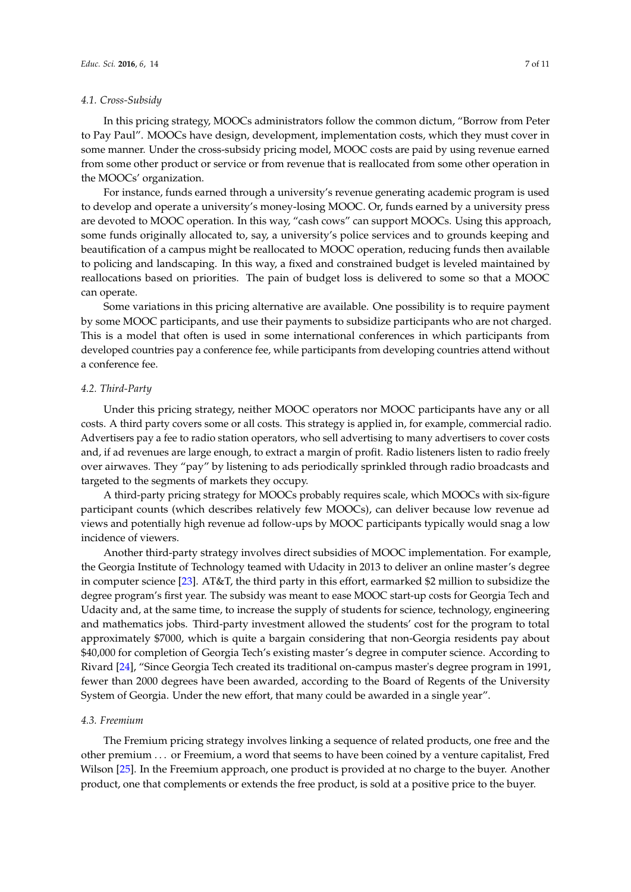# *4.1. Cross-Subsidy*

In this pricing strategy, MOOCs administrators follow the common dictum, "Borrow from Peter to Pay Paul". MOOCs have design, development, implementation costs, which they must cover in some manner. Under the cross-subsidy pricing model, MOOC costs are paid by using revenue earned from some other product or service or from revenue that is reallocated from some other operation in the MOOCs' organization.

For instance, funds earned through a university's revenue generating academic program is used to develop and operate a university's money-losing MOOC. Or, funds earned by a university press are devoted to MOOC operation. In this way, "cash cows" can support MOOCs. Using this approach, some funds originally allocated to, say, a university's police services and to grounds keeping and beautification of a campus might be reallocated to MOOC operation, reducing funds then available to policing and landscaping. In this way, a fixed and constrained budget is leveled maintained by reallocations based on priorities. The pain of budget loss is delivered to some so that a MOOC can operate.

Some variations in this pricing alternative are available. One possibility is to require payment by some MOOC participants, and use their payments to subsidize participants who are not charged. This is a model that often is used in some international conferences in which participants from developed countries pay a conference fee, while participants from developing countries attend without a conference fee.

# *4.2. Third-Party*

Under this pricing strategy, neither MOOC operators nor MOOC participants have any or all costs. A third party covers some or all costs. This strategy is applied in, for example, commercial radio. Advertisers pay a fee to radio station operators, who sell advertising to many advertisers to cover costs and, if ad revenues are large enough, to extract a margin of profit. Radio listeners listen to radio freely over airwaves. They "pay" by listening to ads periodically sprinkled through radio broadcasts and targeted to the segments of markets they occupy.

A third-party pricing strategy for MOOCs probably requires scale, which MOOCs with six-figure participant counts (which describes relatively few MOOCs), can deliver because low revenue ad views and potentially high revenue ad follow-ups by MOOC participants typically would snag a low incidence of viewers.

Another third-party strategy involves direct subsidies of MOOC implementation. For example, the Georgia Institute of Technology teamed with Udacity in 2013 to deliver an online master's degree in computer science [\[23\]](#page-10-6). AT&T, the third party in this effort, earmarked \$2 million to subsidize the degree program's first year. The subsidy was meant to ease MOOC start-up costs for Georgia Tech and Udacity and, at the same time, to increase the supply of students for science, technology, engineering and mathematics jobs. Third-party investment allowed the students' cost for the program to total approximately \$7000, which is quite a bargain considering that non-Georgia residents pay about \$40,000 for completion of Georgia Tech's existing master's degree in computer science. According to Rivard [\[24\]](#page-10-7), "Since Georgia Tech created its traditional on-campus master's degree program in 1991, fewer than 2000 degrees have been awarded, according to the Board of Regents of the University System of Georgia. Under the new effort, that many could be awarded in a single year".

# *4.3. Freemium*

The Fremium pricing strategy involves linking a sequence of related products, one free and the other premium . . . or Freemium, a word that seems to have been coined by a venture capitalist, Fred Wilson [\[25\]](#page-10-8). In the Freemium approach, one product is provided at no charge to the buyer. Another product, one that complements or extends the free product, is sold at a positive price to the buyer.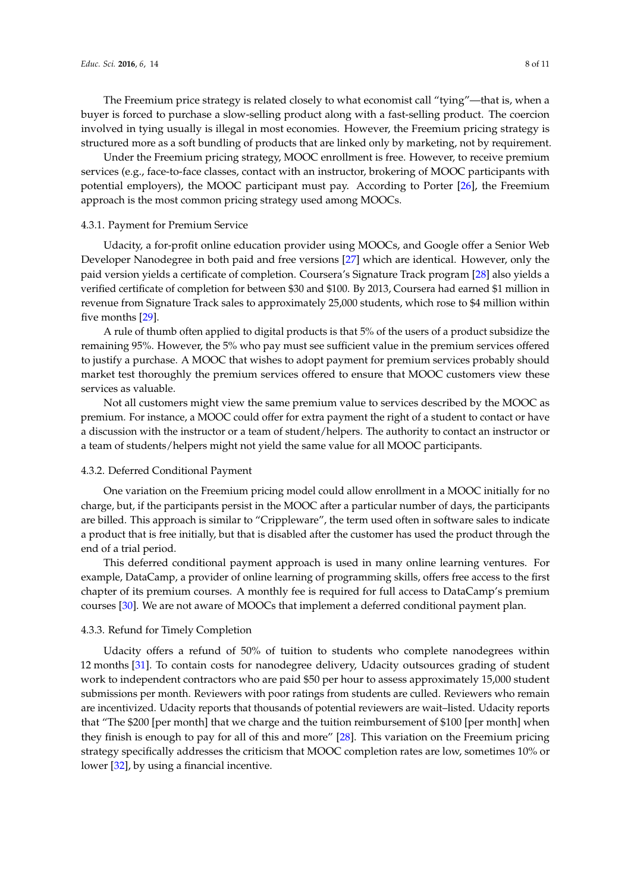The Freemium price strategy is related closely to what economist call "tying"—that is, when a buyer is forced to purchase a slow-selling product along with a fast-selling product. The coercion involved in tying usually is illegal in most economies. However, the Freemium pricing strategy is structured more as a soft bundling of products that are linked only by marketing, not by requirement.

Under the Freemium pricing strategy, MOOC enrollment is free. However, to receive premium services (e.g., face-to-face classes, contact with an instructor, brokering of MOOC participants with potential employers), the MOOC participant must pay. According to Porter [\[26\]](#page-10-9), the Freemium approach is the most common pricing strategy used among MOOCs.

# 4.3.1. Payment for Premium Service

Udacity, a for-profit online education provider using MOOCs, and Google offer a Senior Web Developer Nanodegree in both paid and free versions [\[27\]](#page-10-10) which are identical. However, only the paid version yields a certificate of completion. Coursera's Signature Track program [\[28\]](#page-10-11) also yields a verified certificate of completion for between \$30 and \$100. By 2013, Coursera had earned \$1 million in revenue from Signature Track sales to approximately 25,000 students, which rose to \$4 million within five months [\[29\]](#page-10-12).

A rule of thumb often applied to digital products is that 5% of the users of a product subsidize the remaining 95%. However, the 5% who pay must see sufficient value in the premium services offered to justify a purchase. A MOOC that wishes to adopt payment for premium services probably should market test thoroughly the premium services offered to ensure that MOOC customers view these services as valuable.

Not all customers might view the same premium value to services described by the MOOC as premium. For instance, a MOOC could offer for extra payment the right of a student to contact or have a discussion with the instructor or a team of student/helpers. The authority to contact an instructor or a team of students/helpers might not yield the same value for all MOOC participants.

# 4.3.2. Deferred Conditional Payment

One variation on the Freemium pricing model could allow enrollment in a MOOC initially for no charge, but, if the participants persist in the MOOC after a particular number of days, the participants are billed. This approach is similar to "Crippleware", the term used often in software sales to indicate a product that is free initially, but that is disabled after the customer has used the product through the end of a trial period.

This deferred conditional payment approach is used in many online learning ventures. For example, DataCamp, a provider of online learning of programming skills, offers free access to the first chapter of its premium courses. A monthly fee is required for full access to DataCamp's premium courses [\[30\]](#page-10-13). We are not aware of MOOCs that implement a deferred conditional payment plan.

# 4.3.3. Refund for Timely Completion

Udacity offers a refund of 50% of tuition to students who complete nanodegrees within 12 months [\[31\]](#page-10-14). To contain costs for nanodegree delivery, Udacity outsources grading of student work to independent contractors who are paid \$50 per hour to assess approximately 15,000 student submissions per month. Reviewers with poor ratings from students are culled. Reviewers who remain are incentivized. Udacity reports that thousands of potential reviewers are wait–listed. Udacity reports that "The \$200 [per month] that we charge and the tuition reimbursement of \$100 [per month] when they finish is enough to pay for all of this and more" [\[28\]](#page-10-11). This variation on the Freemium pricing strategy specifically addresses the criticism that MOOC completion rates are low, sometimes 10% or lower [\[32\]](#page-10-15), by using a financial incentive.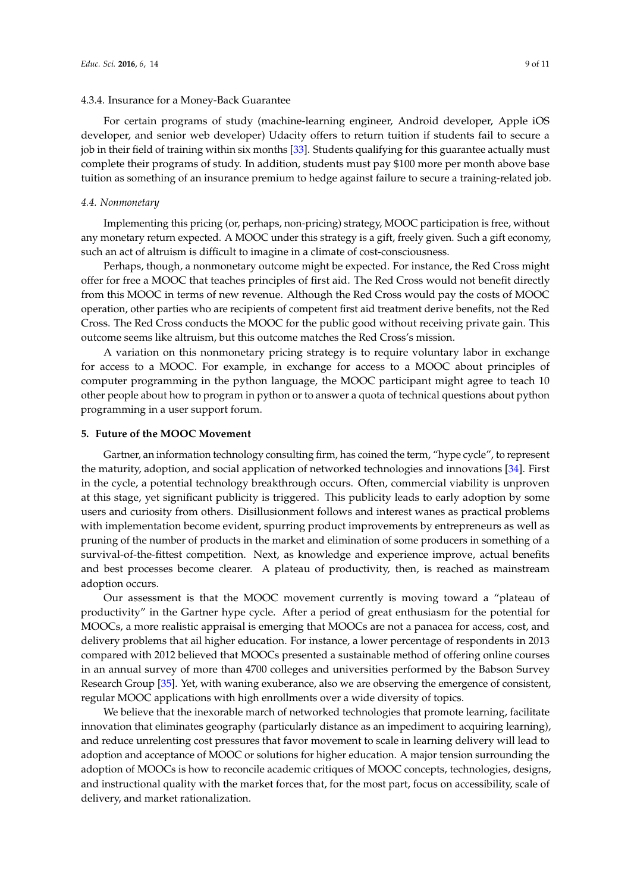## 4.3.4. Insurance for a Money-Back Guarantee

For certain programs of study (machine-learning engineer, Android developer, Apple iOS developer, and senior web developer) Udacity offers to return tuition if students fail to secure a job in their field of training within six months [\[33\]](#page-10-16). Students qualifying for this guarantee actually must complete their programs of study. In addition, students must pay \$100 more per month above base tuition as something of an insurance premium to hedge against failure to secure a training-related job.

## *4.4. Nonmonetary*

Implementing this pricing (or, perhaps, non-pricing) strategy, MOOC participation is free, without any monetary return expected. A MOOC under this strategy is a gift, freely given. Such a gift economy, such an act of altruism is difficult to imagine in a climate of cost-consciousness.

Perhaps, though, a nonmonetary outcome might be expected. For instance, the Red Cross might offer for free a MOOC that teaches principles of first aid. The Red Cross would not benefit directly from this MOOC in terms of new revenue. Although the Red Cross would pay the costs of MOOC operation, other parties who are recipients of competent first aid treatment derive benefits, not the Red Cross. The Red Cross conducts the MOOC for the public good without receiving private gain. This outcome seems like altruism, but this outcome matches the Red Cross's mission.

A variation on this nonmonetary pricing strategy is to require voluntary labor in exchange for access to a MOOC. For example, in exchange for access to a MOOC about principles of computer programming in the python language, the MOOC participant might agree to teach 10 other people about how to program in python or to answer a quota of technical questions about python programming in a user support forum.

# **5. Future of the MOOC Movement**

Gartner, an information technology consulting firm, has coined the term, "hype cycle", to represent the maturity, adoption, and social application of networked technologies and innovations [\[34\]](#page-10-17). First in the cycle, a potential technology breakthrough occurs. Often, commercial viability is unproven at this stage, yet significant publicity is triggered. This publicity leads to early adoption by some users and curiosity from others. Disillusionment follows and interest wanes as practical problems with implementation become evident, spurring product improvements by entrepreneurs as well as pruning of the number of products in the market and elimination of some producers in something of a survival-of-the-fittest competition. Next, as knowledge and experience improve, actual benefits and best processes become clearer. A plateau of productivity, then, is reached as mainstream adoption occurs.

Our assessment is that the MOOC movement currently is moving toward a "plateau of productivity" in the Gartner hype cycle. After a period of great enthusiasm for the potential for MOOCs, a more realistic appraisal is emerging that MOOCs are not a panacea for access, cost, and delivery problems that ail higher education. For instance, a lower percentage of respondents in 2013 compared with 2012 believed that MOOCs presented a sustainable method of offering online courses in an annual survey of more than 4700 colleges and universities performed by the Babson Survey Research Group [\[35\]](#page-10-18). Yet, with waning exuberance, also we are observing the emergence of consistent, regular MOOC applications with high enrollments over a wide diversity of topics.

We believe that the inexorable march of networked technologies that promote learning, facilitate innovation that eliminates geography (particularly distance as an impediment to acquiring learning), and reduce unrelenting cost pressures that favor movement to scale in learning delivery will lead to adoption and acceptance of MOOC or solutions for higher education. A major tension surrounding the adoption of MOOCs is how to reconcile academic critiques of MOOC concepts, technologies, designs, and instructional quality with the market forces that, for the most part, focus on accessibility, scale of delivery, and market rationalization.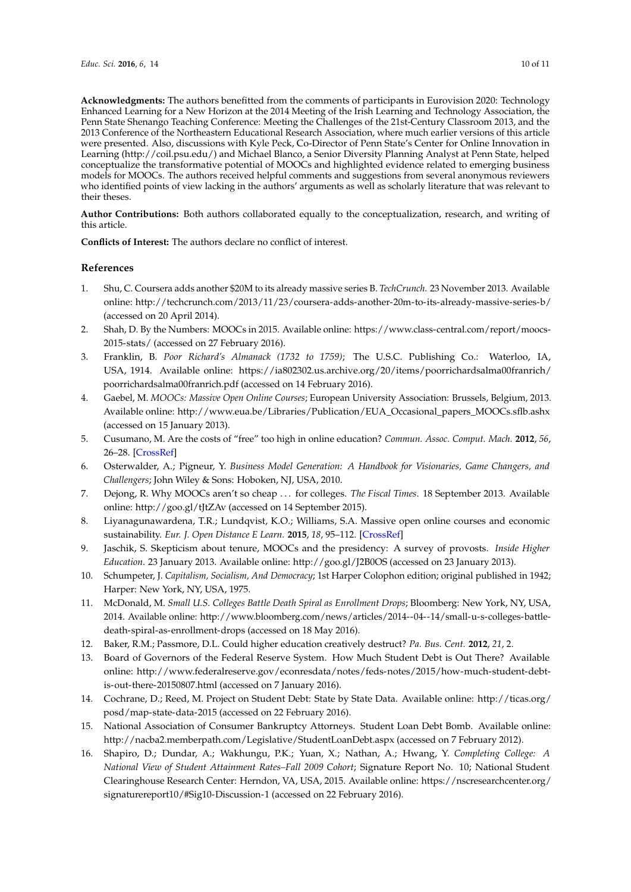**Acknowledgments:** The authors benefitted from the comments of participants in Eurovision 2020: Technology Enhanced Learning for a New Horizon at the 2014 Meeting of the Irish Learning and Technology Association, the Penn State Shenango Teaching Conference: Meeting the Challenges of the 21st-Century Classroom 2013, and the 2013 Conference of the Northeastern Educational Research Association, where much earlier versions of this article were presented. Also, discussions with Kyle Peck, Co-Director of Penn State's Center for Online Innovation in Learning (http://coil.psu.edu/) and Michael Blanco, a Senior Diversity Planning Analyst at Penn State, helped conceptualize the transformative potential of MOOCs and highlighted evidence related to emerging business models for MOOCs. The authors received helpful comments and suggestions from several anonymous reviewers who identified points of view lacking in the authors' arguments as well as scholarly literature that was relevant to

**Author Contributions:** Both authors collaborated equally to the conceptualization, research, and writing of this article.

**Conflicts of Interest:** The authors declare no conflict of interest.

# **References**

their theses.

- <span id="page-9-0"></span>1. Shu, C. Coursera adds another \$20M to its already massive series B. *TechCrunch*. 23 November 2013. Available online: <http://techcrunch.com/2013/11/23/coursera-adds-another-20m-to-its-already-massive-series-b/> (accessed on 20 April 2014).
- <span id="page-9-1"></span>2. Shah, D. By the Numbers: MOOCs in 2015. Available online: [https://www.class-central.com/report/moocs-](https://www.class-central.com/report/moocs-2015-stats/)[2015-stats/](https://www.class-central.com/report/moocs-2015-stats/) (accessed on 27 February 2016).
- <span id="page-9-2"></span>3. Franklin, B. *Poor Richard's Almanack (1732 to 1759)*; The U.S.C. Publishing Co.: Waterloo, IA, USA, 1914. Available online: [https://ia802302.us.archive.org/20/items/poorrichardsalma00franrich/](https://ia802302.us.archive.org/20/items/poorrichardsalma00franrich/poorrichardsalma00franrich.pdf) [poorrichardsalma00franrich.pdf](https://ia802302.us.archive.org/20/items/poorrichardsalma00franrich/poorrichardsalma00franrich.pdf) (accessed on 14 February 2016).
- <span id="page-9-3"></span>4. Gaebel, M. *MOOCs: Massive Open Online Courses*; European University Association: Brussels, Belgium, 2013. Available online: [http://www.eua.be/Libraries/Publication/EUA\\_Occasional\\_papers\\_MOOCs.sflb.ashx](http://www.eua.be/Libraries/Publication/EUA_Occasional_papers_MOOCs.sflb.ashx) (accessed on 15 January 2013).
- <span id="page-9-4"></span>5. Cusumano, M. Are the costs of "free" too high in online education? *Commun. Assoc. Comput. Mach.* **2012**, *56*, 26–28. [\[CrossRef\]](http://dx.doi.org/10.1145/2436256.2436264)
- <span id="page-9-5"></span>6. Osterwalder, A.; Pigneur, Y. *Business Model Generation: A Handbook for Visionaries, Game Changers, and Challengers*; John Wiley & Sons: Hoboken, NJ, USA, 2010.
- <span id="page-9-6"></span>7. Dejong, R. Why MOOCs aren't so cheap . . . for colleges. *The Fiscal Times*. 18 September 2013. Available online: <http://goo.gl/tJtZAv> (accessed on 14 September 2015).
- <span id="page-9-7"></span>8. Liyanagunawardena, T.R.; Lundqvist, K.O.; Williams, S.A. Massive open online courses and economic sustainability. *Eur. J. Open Distance E Learn.* **2015**, *18*, 95–112. [\[CrossRef\]](http://dx.doi.org/10.1515/eurodl-2015-0015)
- <span id="page-9-8"></span>9. Jaschik, S. Skepticism about tenure, MOOCs and the presidency: A survey of provosts. *Inside Higher Education*. 23 January 2013. Available online: <http://goo.gl/J2B0OS> (accessed on 23 January 2013).
- <span id="page-9-9"></span>10. Schumpeter, J. *Capitalism, Socialism, And Democracy*; 1st Harper Colophon edition; original published in 1942; Harper: New York, NY, USA, 1975.
- <span id="page-9-10"></span>11. McDonald, M. *Small U.S. Colleges Battle Death Spiral as Enrollment Drops*; Bloomberg: New York, NY, USA, 2014. Available online: [http://www.bloomberg.com/news/articles/2014--04--14/small-u-s-colleges-battle](http://www.bloomberg.com/news/articles/2014--04--14/small-u-s-colleges-battle-death-spiral-as-enrollment-drops)[death-spiral-as-enrollment-drops](http://www.bloomberg.com/news/articles/2014--04--14/small-u-s-colleges-battle-death-spiral-as-enrollment-drops) (accessed on 18 May 2016).
- <span id="page-9-11"></span>12. Baker, R.M.; Passmore, D.L. Could higher education creatively destruct? *Pa. Bus. Cent.* **2012**, *21*, 2.
- <span id="page-9-12"></span>13. Board of Governors of the Federal Reserve System. How Much Student Debt is Out There? Available online: [http://www.federalreserve.gov/econresdata/notes/feds-notes/2015/how-much-student-debt](http://www.federalreserve.gov/econresdata/notes/feds-notes/2015/how-much-student-debt-is-out-there-20150807.html)[is-out-there-20150807.html](http://www.federalreserve.gov/econresdata/notes/feds-notes/2015/how-much-student-debt-is-out-there-20150807.html) (accessed on 7 January 2016).
- <span id="page-9-13"></span>14. Cochrane, D.; Reed, M. Project on Student Debt: State by State Data. Available online: [http://ticas.org/](http://ticas.org/posd/map-state-data-2015) [posd/map-state-data-2015](http://ticas.org/posd/map-state-data-2015) (accessed on 22 February 2016).
- <span id="page-9-14"></span>15. National Association of Consumer Bankruptcy Attorneys. Student Loan Debt Bomb. Available online: <http://nacba2.memberpath.com/Legislative/StudentLoanDebt.aspx> (accessed on 7 February 2012).
- <span id="page-9-15"></span>16. Shapiro, D.; Dundar, A.; Wakhungu, P.K.; Yuan, X.; Nathan, A.; Hwang, Y. *Completing College: A National View of Student Attainment Rates–Fall 2009 Cohort*; Signature Report No. 10; National Student Clearinghouse Research Center: Herndon, VA, USA, 2015. Available online: [https://nscresearchcenter.org/](https://nscresearchcenter.org/signaturereport10/#Sig10-Discussion-1) [signaturereport10/#Sig10-Discussion-1](https://nscresearchcenter.org/signaturereport10/#Sig10-Discussion-1) (accessed on 22 February 2016).